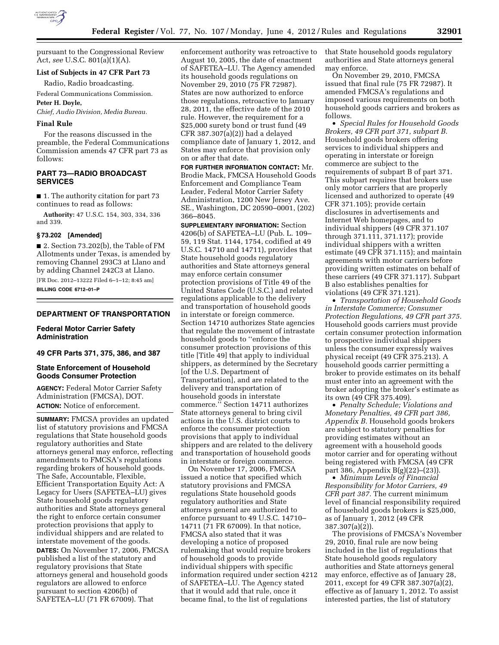

pursuant to the Congressional Review Act, *see* U.S.C. 801(a)(1)(A).

## **List of Subjects in 47 CFR Part 73**

Radio, Radio broadcasting.

Federal Communications Commission. **Peter H. Doyle,** 

*Chief, Audio Division, Media Bureau.* 

#### **Final Rule**

For the reasons discussed in the preamble, the Federal Communications Commission amends 47 CFR part 73 as follows:

# **PART 73—RADIO BROADCAST SERVICES**

■ 1. The authority citation for part 73 continues to read as follows:

**Authority:** 47 U.S.C. 154, 303, 334, 336 and 339.

#### **§ 73.202 [Amended]**

■ 2. Section 73.202(b), the Table of FM Allotments under Texas, is amended by removing Channel 293C3 at Llano and by adding Channel 242C3 at Llano.

[FR Doc. 2012–13222 Filed 6–1–12; 8:45 am] **BILLING CODE 6712–01–P** 

## **DEPARTMENT OF TRANSPORTATION**

## **Federal Motor Carrier Safety Administration**

**49 CFR Parts 371, 375, 386, and 387** 

## **State Enforcement of Household Goods Consumer Protection**

**AGENCY:** Federal Motor Carrier Safety Administration (FMCSA), DOT. **ACTION:** Notice of enforcement.

**SUMMARY:** FMCSA provides an updated list of statutory provisions and FMCSA regulations that State household goods regulatory authorities and State attorneys general may enforce, reflecting amendments to FMCSA's regulations regarding brokers of household goods. The Safe, Accountable, Flexible, Efficient Transportation Equity Act: A Legacy for Users (SAFETEA–LU) gives State household goods regulatory authorities and State attorneys general the right to enforce certain consumer protection provisions that apply to individual shippers and are related to interstate movement of the goods. **DATES:** On November 17, 2006, FMCSA

published a list of the statutory and regulatory provisions that State attorneys general and household goods regulators are allowed to enforce pursuant to section 4206(b) of SAFETEA–LU (71 FR 67009). That

enforcement authority was retroactive to August 10, 2005, the date of enactment of SAFETEA–LU. The Agency amended its household goods regulations on November 29, 2010 (75 FR 72987). States are now authorized to enforce those regulations, retroactive to January 28, 2011, the effective date of the 2010 rule. However, the requirement for a \$25,000 surety bond or trust fund (49 CFR 387.307(a)(2)) had a delayed compliance date of January 1, 2012, and States may enforce that provision only on or after that date.

**FOR FURTHER INFORMATION CONTACT:** Mr. Brodie Mack, FMCSA Household Goods Enforcement and Compliance Team Leader, Federal Motor Carrier Safety Administration, 1200 New Jersey Ave. SE., Washington, DC 20590–0001, (202) 366–8045.

**SUPPLEMENTARY INFORMATION:** Section 4206(b) of SAFETEA–LU (Pub. L. 109– 59, 119 Stat. 1144, 1754, codified at 49 U.S.C. 14710 and 14711), provides that State household goods regulatory authorities and State attorneys general may enforce certain consumer protection provisions of Title 49 of the United States Code (U.S.C.) and related regulations applicable to the delivery and transportation of household goods in interstate or foreign commerce. Section 14710 authorizes State agencies that regulate the movement of intrastate household goods to ''enforce the consumer protection provisions of this title [Title 49] that apply to individual shippers, as determined by the Secretary [of the U.S. Department of Transportation], and are related to the delivery and transportation of household goods in interstate commerce.'' Section 14711 authorizes State attorneys general to bring civil actions in the U.S. district courts to enforce the consumer protection provisions that apply to individual shippers and are related to the delivery and transportation of household goods in interstate or foreign commerce.

On November 17, 2006, FMCSA issued a notice that specified which statutory provisions and FMCSA regulations State household goods regulatory authorities and State attorneys general are authorized to enforce pursuant to 49 U.S.C. 14710– 14711 (71 FR 67009). In that notice, FMCSA also stated that it was developing a notice of proposed rulemaking that would require brokers of household goods to provide individual shippers with specific information required under section 4212 of SAFETEA–LU. The Agency stated that it would add that rule, once it became final, to the list of regulations

that State household goods regulatory authorities and State attorneys general may enforce.

On November 29, 2010, FMCSA issued that final rule (75 FR 72987). It amended FMCSA's regulations and imposed various requirements on both household goods carriers and brokers as follows.

• *Special Rules for Household Goods Brokers, 49 CFR part 371, subpart B.*  Household goods brokers offering services to individual shippers and operating in interstate or foreign commerce are subject to the requirements of subpart B of part 371. This subpart requires that brokers use only motor carriers that are properly licensed and authorized to operate (49 CFR 371.105); provide certain disclosures in advertisements and Internet Web homepages, and to individual shippers (49 CFR 371.107 through 371.111, 371.117); provide individual shippers with a written estimate (49 CFR 371.115); and maintain agreements with motor carriers before providing written estimates on behalf of these carriers (49 CFR 371.117). Subpart B also establishes penalties for violations (49 CFR 371.121).

• *Transportation of Household Goods in Interstate Commerce; Consumer Protection Regulations, 49 CFR part 375.*  Household goods carriers must provide certain consumer protection information to prospective individual shippers unless the consumer expressly waives physical receipt (49 CFR 375.213). A household goods carrier permitting a broker to provide estimates on its behalf must enter into an agreement with the broker adopting the broker's estimate as its own (49 CFR 375.409).

• *Penalty Schedule; Violations and Monetary Penalties, 49 CFR part 386, Appendix B.* Household goods brokers are subject to statutory penalties for providing estimates without an agreement with a household goods motor carrier and for operating without being registered with FMCSA (49 CFR part 386, Appendix B(g)(22)–(23)).

• *Minimum Levels of Financial Responsibility for Motor Carriers, 49 CFR part 387.* The current minimum level of financial responsibility required of household goods brokers is \$25,000, as of January 1, 2012 (49 CFR 387.307(a)(2)).

The provisions of FMCSA's November 29, 2010, final rule are now being included in the list of regulations that State household goods regulatory authorities and State attorneys general may enforce, effective as of January 28, 2011, except for 49 CFR 387.307(a)(2), effective as of January 1, 2012. To assist interested parties, the list of statutory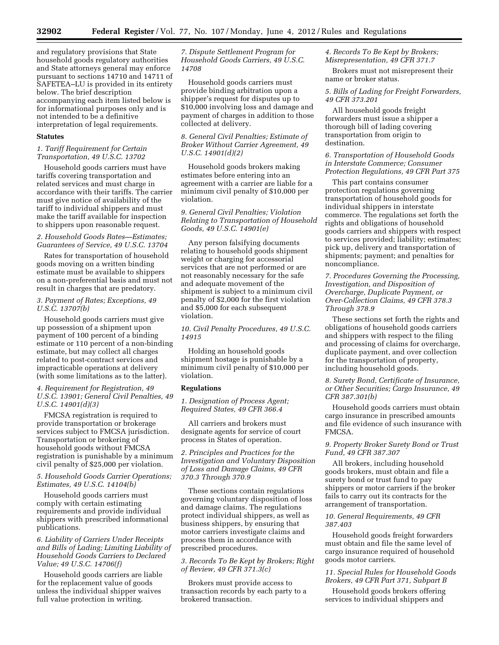and regulatory provisions that State household goods regulatory authorities and State attorneys general may enforce pursuant to sections 14710 and 14711 of SAFETEA–LU is provided in its entirety below. The brief description accompanying each item listed below is for informational purposes only and is not intended to be a definitive interpretation of legal requirements.

#### **Statutes**

#### *1. Tariff Requirement for Certain Transportation, 49 U.S.C. 13702*

Household goods carriers must have tariffs covering transportation and related services and must charge in accordance with their tariffs. The carrier must give notice of availability of the tariff to individual shippers and must make the tariff available for inspection to shippers upon reasonable request.

#### *2. Household Goods Rates—Estimates; Guarantees of Service, 49 U.S.C. 13704*

Rates for transportation of household goods moving on a written binding estimate must be available to shippers on a non-preferential basis and must not result in charges that are predatory.

### *3. Payment of Rates; Exceptions, 49 U.S.C. 13707(b)*

Household goods carriers must give up possession of a shipment upon payment of 100 percent of a binding estimate or 110 percent of a non-binding estimate, but may collect all charges related to post-contract services and impracticable operations at delivery (with some limitations as to the latter).

#### *4. Requirement for Registration, 49 U.S.C. 13901; General Civil Penalties, 49 U.S.C. 14901(d)(3)*

FMCSA registration is required to provide transportation or brokerage services subject to FMCSA jurisdiction. Transportation or brokering of household goods without FMCSA registration is punishable by a minimum civil penalty of \$25,000 per violation.

#### *5. Household Goods Carrier Operations; Estimates, 49 U.S.C. 14104(b)*

Household goods carriers must comply with certain estimating requirements and provide individual shippers with prescribed informational publications.

## *6. Liability of Carriers Under Receipts and Bills of Lading; Limiting Liability of Household Goods Carriers to Declared Value; 49 U.S.C. 14706(f)*

Household goods carriers are liable for the replacement value of goods unless the individual shipper waives full value protection in writing.

*7. Dispute Settlement Program for Household Goods Carriers, 49 U.S.C. 14708* 

Household goods carriers must provide binding arbitration upon a shipper's request for disputes up to \$10,000 involving loss and damage and payment of charges in addition to those collected at delivery.

#### *8. General Civil Penalties; Estimate of Broker Without Carrier Agreement, 49 U.S.C. 14901(d)(2)*

Household goods brokers making estimates before entering into an agreement with a carrier are liable for a minimum civil penalty of \$10,000 per violation.

## *9. General Civil Penalties; Violation Relating to Transportation of Household Goods, 49 U.S.C. 14901(e)*

Any person falsifying documents relating to household goods shipment weight or charging for accessorial services that are not performed or are not reasonably necessary for the safe and adequate movement of the shipment is subject to a minimum civil penalty of \$2,000 for the first violation and \$5,000 for each subsequent violation.

*10. Civil Penalty Procedures, 49 U.S.C. 14915* 

Holding an household goods shipment hostage is punishable by a minimum civil penalty of \$10,000 per violation.

# **Regulations**

*1. Designation of Process Agent; Required States, 49 CFR 366.4* 

All carriers and brokers must designate agents for service of court process in States of operation.

*2. Principles and Practices for the Investigation and Voluntary Disposition of Loss and Damage Claims, 49 CFR 370.3 Through 370.9* 

These sections contain regulations governing voluntary disposition of loss and damage claims. The regulations protect individual shippers, as well as business shippers, by ensuring that motor carriers investigate claims and process them in accordance with prescribed procedures.

# *3. Records To Be Kept by Brokers; Right of Review, 49 CFR 371.3(c)*

Brokers must provide access to transaction records by each party to a brokered transaction.

## *4. Records To Be Kept by Brokers; Misrepresentation, 49 CFR 371.7*

Brokers must not misrepresent their name or broker status.

#### *5. Bills of Lading for Freight Forwarders, 49 CFR 373.201*

All household goods freight forwarders must issue a shipper a thorough bill of lading covering transportation from origin to destination.

## *6. Transportation of Household Goods in Interstate Commerce; Consumer Protection Regulations, 49 CFR Part 375*

This part contains consumer protection regulations governing transportation of household goods for individual shippers in interstate commerce. The regulations set forth the rights and obligations of household goods carriers and shippers with respect to services provided; liability; estimates; pick up, delivery and transportation of shipments; payment; and penalties for noncompliance.

## *7. Procedures Governing the Processing, Investigation, and Disposition of Overcharge, Duplicate Payment, or Over-Collection Claims, 49 CFR 378.3 Through 378.9*

These sections set forth the rights and obligations of household goods carriers and shippers with respect to the filing and processing of claims for overcharge, duplicate payment, and over collection for the transportation of property, including household goods.

## *8. Surety Bond, Certificate of Insurance, or Other Securities; Cargo Insurance, 49 CFR 387.301(b)*

Household goods carriers must obtain cargo insurance in prescribed amounts and file evidence of such insurance with FMCSA.

#### *9. Property Broker Surety Bond or Trust Fund, 49 CFR 387.307*

All brokers, including household goods brokers, must obtain and file a surety bond or trust fund to pay shippers or motor carriers if the broker fails to carry out its contracts for the arrangement of transportation.

# *10. General Requirements, 49 CFR 387.403*

Household goods freight forwarders must obtain and file the same level of cargo insurance required of household goods motor carriers.

#### *11. Special Rules for Household Goods Brokers, 49 CFR Part 371, Subpart B*

Household goods brokers offering services to individual shippers and